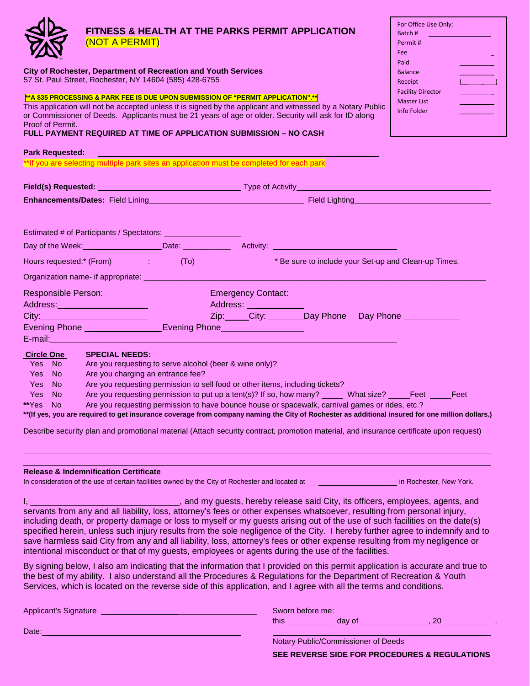| <b>FITNESS &amp; HEALTH AT THE PARKS PERMIT APPLICATION</b><br>(NOT A PERMIT)                                                                                                                                                             |                                                                                                                                                                                                                                                                                                                                                                               |                   |                                |                                   | For Office Use Only:<br>Batch # 2009 1999<br>Permit # |  |
|-------------------------------------------------------------------------------------------------------------------------------------------------------------------------------------------------------------------------------------------|-------------------------------------------------------------------------------------------------------------------------------------------------------------------------------------------------------------------------------------------------------------------------------------------------------------------------------------------------------------------------------|-------------------|--------------------------------|-----------------------------------|-------------------------------------------------------|--|
|                                                                                                                                                                                                                                           |                                                                                                                                                                                                                                                                                                                                                                               |                   |                                | Fee                               |                                                       |  |
| Paid                                                                                                                                                                                                                                      |                                                                                                                                                                                                                                                                                                                                                                               |                   |                                |                                   |                                                       |  |
| <b>City of Rochester, Department of Recreation and Youth Services</b><br><b>Balance</b><br>57 St. Paul Street, Rochester, NY 14604 (585) 428-6755                                                                                         |                                                                                                                                                                                                                                                                                                                                                                               |                   |                                |                                   | $\sqrt{2}$                                            |  |
| Receipt                                                                                                                                                                                                                                   |                                                                                                                                                                                                                                                                                                                                                                               |                   |                                |                                   | <b>Facility Director</b>                              |  |
| Proof of Permit.                                                                                                                                                                                                                          | **A \$35 PROCESSING & PARK FEE IS DUE UPON SUBMISSION OF "PERMIT APPLICATION".**<br>This application will not be accepted unless it is signed by the applicant and witnessed by a Notary Public<br>or Commissioner of Deeds. Applicants must be 21 years of age or older. Security will ask for ID along<br>FULL PAYMENT REQUIRED AT TIME OF APPLICATION SUBMISSION – NO CASH |                   |                                | <b>Master List</b><br>Info Folder |                                                       |  |
| <b>Park Requested:</b>                                                                                                                                                                                                                    |                                                                                                                                                                                                                                                                                                                                                                               |                   |                                |                                   |                                                       |  |
|                                                                                                                                                                                                                                           | **If you are selecting multiple park sites an application must be completed for each park                                                                                                                                                                                                                                                                                     |                   |                                |                                   |                                                       |  |
|                                                                                                                                                                                                                                           | <b>Field(s) Requested:</b> Type of Activity And Activity Activity Activity Activity Activity Activity Activity Activity                                                                                                                                                                                                                                                       |                   |                                |                                   |                                                       |  |
| <b>Enhancements/Dates:</b> Field Lining <b>Contract Contract Contract Contract Contract Contract Contract Contract Contract Contract Contract Contract Contract Contract Contract Contract Contract Contract Contract Contract Contra</b> |                                                                                                                                                                                                                                                                                                                                                                               |                   |                                |                                   |                                                       |  |
|                                                                                                                                                                                                                                           | Estimated # of Participants / Spectators: _________________<br>Day of the Week: Date: Date: National Activity: National Activity: National Activity: National Activity: National Activity: National Activity: National Activity: National Activity: National Activity: National Activity: Nat                                                                                 |                   |                                |                                   |                                                       |  |
|                                                                                                                                                                                                                                           | Organization name- if appropriate: _____________                                                                                                                                                                                                                                                                                                                              |                   |                                |                                   |                                                       |  |
| Responsible Person: New York Change and September 2014                                                                                                                                                                                    |                                                                                                                                                                                                                                                                                                                                                                               |                   | Emergency Contact: Management  |                                   |                                                       |  |
|                                                                                                                                                                                                                                           | Address: No. 1996. The Magazine Street, 1997.                                                                                                                                                                                                                                                                                                                                 | Address: Address: |                                |                                   |                                                       |  |
|                                                                                                                                                                                                                                           | City: <b>City: City: City: City: City: City: City: City: City: City: City: City: City: City: City: City: City: City: City: City: City: City: City: 2012: 2013: 2014: 2014: 2014: 201</b>                                                                                                                                                                                      |                   | Zip: City: Day Phone Day Phone |                                   |                                                       |  |
|                                                                                                                                                                                                                                           |                                                                                                                                                                                                                                                                                                                                                                               |                   |                                |                                   |                                                       |  |
| E-mail: <b>E-mail:</b>                                                                                                                                                                                                                    |                                                                                                                                                                                                                                                                                                                                                                               |                   |                                |                                   |                                                       |  |
| <b>Circle One</b>                                                                                                                                                                                                                         | <b>SPECIAL NEEDS:</b>                                                                                                                                                                                                                                                                                                                                                         |                   |                                |                                   |                                                       |  |
| Yes No                                                                                                                                                                                                                                    | Are you requesting to serve alcohol (beer & wine only)?                                                                                                                                                                                                                                                                                                                       |                   |                                |                                   |                                                       |  |
| Yes No                                                                                                                                                                                                                                    | Are you charging an entrance fee?                                                                                                                                                                                                                                                                                                                                             |                   |                                |                                   |                                                       |  |
| Yes No<br>Yes No                                                                                                                                                                                                                          | Are you requesting permission to sell food or other items, including tickets?                                                                                                                                                                                                                                                                                                 |                   |                                |                                   |                                                       |  |
| **Yes<br><b>No</b>                                                                                                                                                                                                                        | Are you requesting permission to put up a tent(s)? If so, how many? What size? Feet Feet<br>Are you requesting permission to have bounce house or spacewalk, carnival games or rides, etc.?                                                                                                                                                                                   |                   |                                |                                   |                                                       |  |
|                                                                                                                                                                                                                                           | ** (If yes, you are required to get insurance coverage from company naming the City of Rochester as additional insured for one million dollars.)                                                                                                                                                                                                                              |                   |                                |                                   |                                                       |  |
|                                                                                                                                                                                                                                           | Describe security plan and promotional material (Attach security contract, promotion material, and insurance certificate upon request)                                                                                                                                                                                                                                        |                   |                                |                                   |                                                       |  |

#### **Release & Indemnification Certificate**

In consideration of the use of certain facilities owned by the City of Rochester and located at \_\_\_ in Rochester, New York.

I, \_\_\_\_\_\_\_\_\_\_\_\_\_\_\_\_\_\_\_\_\_\_\_\_\_\_\_\_\_\_\_\_\_\_, and my guests, hereby release said City, its officers, employees, agents, and servants from any and all liability, loss, attorney's fees or other expenses whatsoever, resulting from personal injury, including death, or property damage or loss to myself or my guests arising out of the use of such facilities on the date(s) specified herein, unless such injury results from the sole negligence of the City. I hereby further agree to indemnify and to save harmless said City from any and all liability, loss, attorney's fees or other expense resulting from my negligence or intentional misconduct or that of my guests, employees or agents during the use of the facilities.

By signing below, I also am indicating that the information that I provided on this permit application is accurate and true to the best of my ability. I also understand all the Procedures & Regulations for the Department of Recreation & Youth Services, which is located on the reverse side of this application, and I agree with all the terms and conditions.

| Applicant's Signature | Sworn before me:                    |
|-----------------------|-------------------------------------|
|                       | this<br>20<br>day of                |
| Date:                 |                                     |
|                       | Notary Public/Commissioner of Deeds |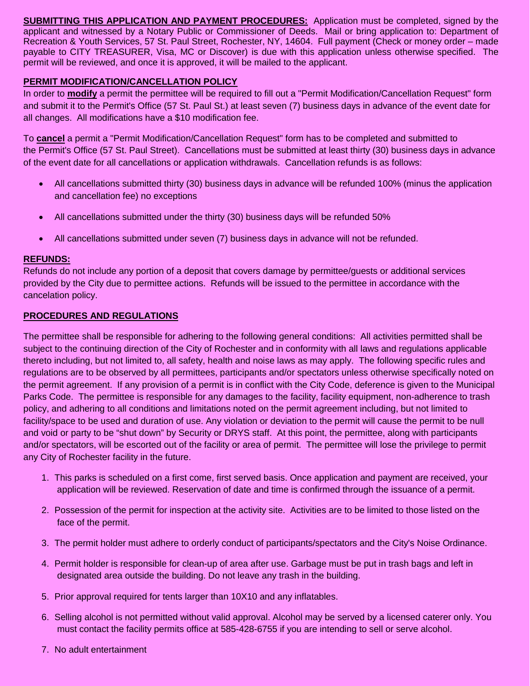**SUBMITTING THIS APPLICATION AND PAYMENT PROCEDURES:** Application must be completed, signed by the applicant and witnessed by a Notary Public or Commissioner of Deeds. Mail or bring application to: Department of Recreation & Youth Services, 57 St. Paul Street, Rochester, NY, 14604. Full payment (Check or money order – made payable to CITY TREASURER, Visa, MC or Discover) is due with this application unless otherwise specified. The permit will be reviewed, and once it is approved, it will be mailed to the applicant.

# **PERMIT MODIFICATION/CANCELLATION POLICY**

In order to **modify** a permit the permittee will be required to fill out a "Permit Modification/Cancellation Request" form and submit it to the Permit's Office (57 St. Paul St.) at least seven (7) business days in advance of the event date for all changes. All modifications have a \$10 modification fee.

To **cancel** a permit a "Permit Modification/Cancellation Request" form has to be completed and submitted to the Permit's Office (57 St. Paul Street). Cancellations must be submitted at least thirty (30) business days in advance of the event date for all cancellations or application withdrawals. Cancellation refunds is as follows:

- All cancellations submitted thirty (30) business days in advance will be refunded 100% (minus the application and cancellation fee) no exceptions
- All cancellations submitted under the thirty (30) business days will be refunded 50%
- All cancellations submitted under seven (7) business days in advance will not be refunded.

# **REFUNDS:**

Refunds do not include any portion of a deposit that covers damage by permittee/guests or additional services provided by the City due to permittee actions. Refunds will be issued to the permittee in accordance with the cancelation policy.

### **PROCEDURES AND REGULATIONS**

The permittee shall be responsible for adhering to the following general conditions: All activities permitted shall be subject to the continuing direction of the City of Rochester and in conformity with all laws and regulations applicable thereto including, but not limited to, all safety, health and noise laws as may apply. The following specific rules and regulations are to be observed by all permittees, participants and/or spectators unless otherwise specifically noted on the permit agreement. If any provision of a permit is in conflict with the City Code, deference is given to the Municipal Parks Code. The permittee is responsible for any damages to the facility, facility equipment, non-adherence to trash policy, and adhering to all conditions and limitations noted on the permit agreement including, but not limited to facility/space to be used and duration of use. Any violation or deviation to the permit will cause the permit to be null and void or party to be "shut down" by Security or DRYS staff. At this point, the permittee, along with participants and/or spectators, will be escorted out of the facility or area of permit. The permittee will lose the privilege to permit any City of Rochester facility in the future.

- 1. This parks is scheduled on a first come, first served basis. Once application and payment are received, your application will be reviewed. Reservation of date and time is confirmed through the issuance of a permit.
- 2. Possession of the permit for inspection at the activity site. Activities are to be limited to those listed on the face of the permit.
- 3. The permit holder must adhere to orderly conduct of participants/spectators and the City's Noise Ordinance.
- 4. Permit holder is responsible for clean-up of area after use. Garbage must be put in trash bags and left in designated area outside the building. Do not leave any trash in the building.
- 5. Prior approval required for tents larger than 10X10 and any inflatables.
- 6. Selling alcohol is not permitted without valid approval. Alcohol may be served by a licensed caterer only. You must contact the facility permits office at 585-428-6755 if you are intending to sell or serve alcohol.
- 7. No adult entertainment